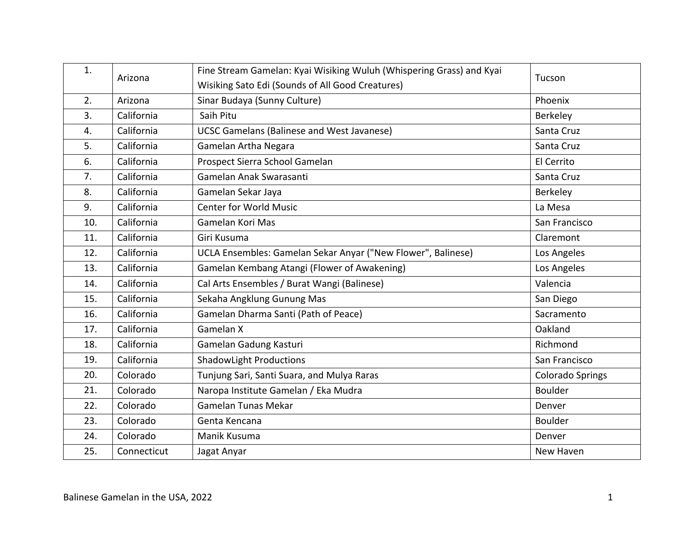| 1.  | Arizona     | Fine Stream Gamelan: Kyai Wisiking Wuluh (Whispering Grass) and Kyai | Tucson                  |
|-----|-------------|----------------------------------------------------------------------|-------------------------|
|     |             | Wisiking Sato Edi (Sounds of All Good Creatures)                     |                         |
| 2.  | Arizona     | Sinar Budaya (Sunny Culture)                                         | Phoenix                 |
| 3.  | California  | Saih Pitu                                                            | Berkeley                |
| 4.  | California  | <b>UCSC Gamelans (Balinese and West Javanese)</b>                    | Santa Cruz              |
| 5.  | California  | Gamelan Artha Negara                                                 | Santa Cruz              |
| 6.  | California  | Prospect Sierra School Gamelan                                       | El Cerrito              |
| 7.  | California  | Gamelan Anak Swarasanti                                              | Santa Cruz              |
| 8.  | California  | Gamelan Sekar Jaya                                                   | Berkeley                |
| 9.  | California  | <b>Center for World Music</b>                                        | La Mesa                 |
| 10. | California  | Gamelan Kori Mas                                                     | San Francisco           |
| 11. | California  | Giri Kusuma                                                          | Claremont               |
| 12. | California  | UCLA Ensembles: Gamelan Sekar Anyar ("New Flower", Balinese)         | Los Angeles             |
| 13. | California  | Gamelan Kembang Atangi (Flower of Awakening)                         | Los Angeles             |
| 14. | California  | Cal Arts Ensembles / Burat Wangi (Balinese)                          | Valencia                |
| 15. | California  | Sekaha Angklung Gunung Mas                                           | San Diego               |
| 16. | California  | Gamelan Dharma Santi (Path of Peace)                                 | Sacramento              |
| 17. | California  | Gamelan X                                                            | Oakland                 |
| 18. | California  | Gamelan Gadung Kasturi                                               | Richmond                |
| 19. | California  | <b>ShadowLight Productions</b>                                       | San Francisco           |
| 20. | Colorado    | Tunjung Sari, Santi Suara, and Mulya Raras                           | <b>Colorado Springs</b> |
| 21. | Colorado    | Naropa Institute Gamelan / Eka Mudra                                 | <b>Boulder</b>          |
| 22. | Colorado    | <b>Gamelan Tunas Mekar</b>                                           | Denver                  |
| 23. | Colorado    | Genta Kencana                                                        | <b>Boulder</b>          |
| 24. | Colorado    | Manik Kusuma                                                         | Denver                  |
| 25. | Connecticut | Jagat Anyar                                                          | New Haven               |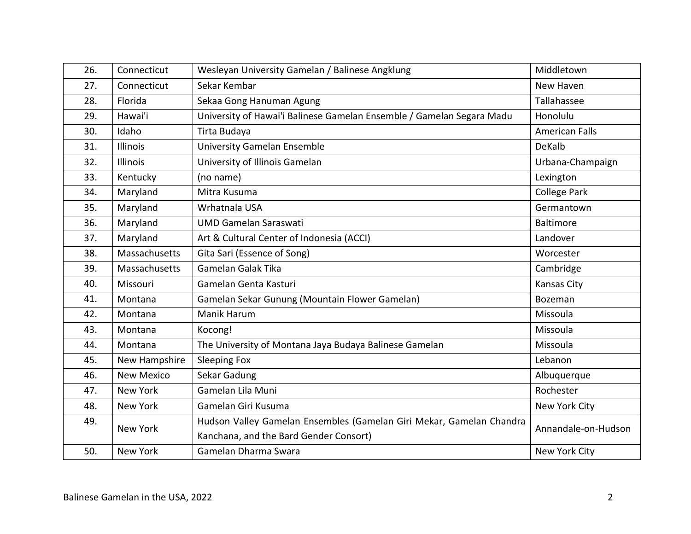| 26. | Connecticut       | Wesleyan University Gamelan / Balinese Angklung                                                                | Middletown            |
|-----|-------------------|----------------------------------------------------------------------------------------------------------------|-----------------------|
| 27. | Connecticut       | Sekar Kembar                                                                                                   | New Haven             |
| 28. | Florida           | Sekaa Gong Hanuman Agung                                                                                       | Tallahassee           |
| 29. | Hawai'i           | University of Hawai'i Balinese Gamelan Ensemble / Gamelan Segara Madu                                          | Honolulu              |
| 30. | Idaho             | Tirta Budaya                                                                                                   | <b>American Falls</b> |
| 31. | Illinois          | <b>University Gamelan Ensemble</b>                                                                             | DeKalb                |
| 32. | Illinois          | University of Illinois Gamelan                                                                                 | Urbana-Champaign      |
| 33. | Kentucky          | (no name)                                                                                                      | Lexington             |
| 34. | Maryland          | Mitra Kusuma                                                                                                   | College Park          |
| 35. | Maryland          | Wrhatnala USA                                                                                                  | Germantown            |
| 36. | Maryland          | <b>UMD Gamelan Saraswati</b>                                                                                   | Baltimore             |
| 37. | Maryland          | Art & Cultural Center of Indonesia (ACCI)                                                                      | Landover              |
| 38. | Massachusetts     | Gita Sari (Essence of Song)                                                                                    | Worcester             |
| 39. | Massachusetts     | Gamelan Galak Tika                                                                                             | Cambridge             |
| 40. | Missouri          | Gamelan Genta Kasturi                                                                                          | <b>Kansas City</b>    |
| 41. | Montana           | Gamelan Sekar Gunung (Mountain Flower Gamelan)                                                                 | Bozeman               |
| 42. | Montana           | <b>Manik Harum</b>                                                                                             | Missoula              |
| 43. | Montana           | Kocong!                                                                                                        | Missoula              |
| 44. | Montana           | The University of Montana Jaya Budaya Balinese Gamelan                                                         | Missoula              |
| 45. | New Hampshire     | <b>Sleeping Fox</b>                                                                                            | Lebanon               |
| 46. | <b>New Mexico</b> | Sekar Gadung                                                                                                   | Albuquerque           |
| 47. | New York          | Gamelan Lila Muni                                                                                              | Rochester             |
| 48. | New York          | Gamelan Giri Kusuma                                                                                            | New York City         |
| 49. | New York          | Hudson Valley Gamelan Ensembles (Gamelan Giri Mekar, Gamelan Chandra<br>Kanchana, and the Bard Gender Consort) | Annandale-on-Hudson   |
| 50. | New York          | Gamelan Dharma Swara                                                                                           | New York City         |